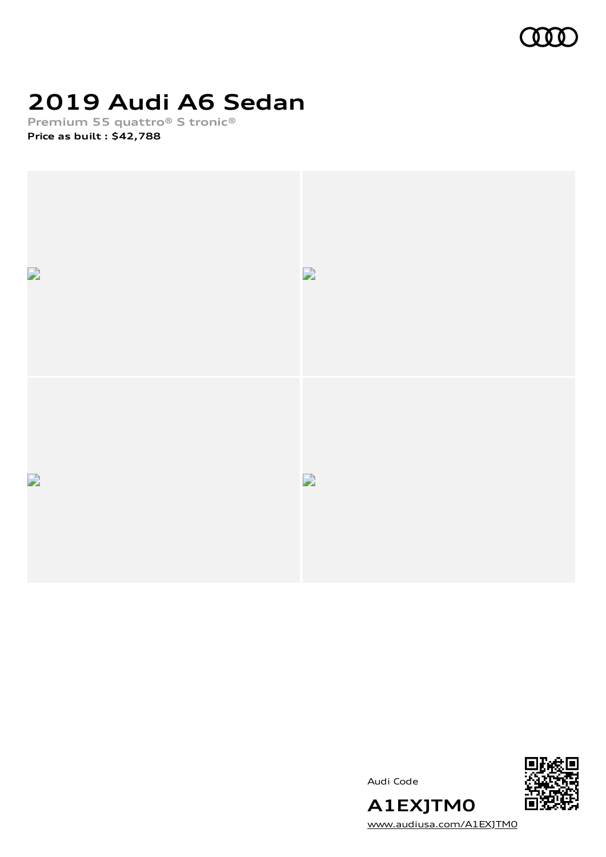

# **2019 Audi A6 Sedan**

**Premium 55 quattro® S tronic®**

**Price as built [:](#page-10-0) \$42,788**



Audi Code



[www.audiusa.com/A1EXJTM0](https://www.audiusa.com/A1EXJTM0)

**A1EXJTM0**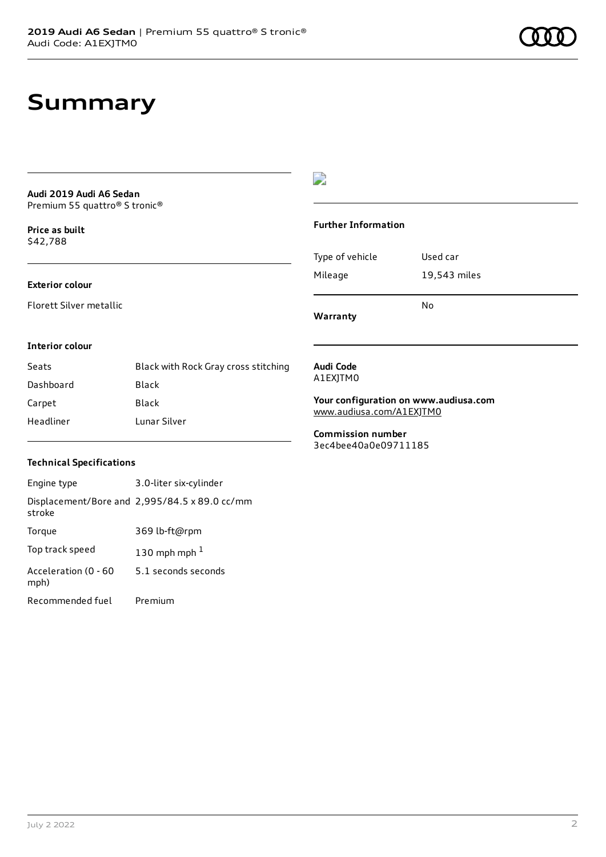## **Summary**

#### **Audi 2019 Audi A6 Sedan** Premium 55 quattro® S tronic®

**Price as buil[t](#page-10-0)** \$42,788

#### **Exterior colour**

Florett Silver metallic

### $\overline{\phantom{a}}$

#### **Further Information**

|                 | N٥           |
|-----------------|--------------|
| Mileage         | 19,543 miles |
| Type of vehicle | Used car     |

**Warranty**

#### **Interior colour**

| Seats     | Black with Rock Gray cross stitching |
|-----------|--------------------------------------|
| Dashboard | Black                                |
| Carpet    | Black                                |
| Headliner | Lunar Silver                         |

#### **Audi Code** A1EXJTM0

**Your configuration on www.audiusa.com**

[www.audiusa.com/A1EXJTM0](https://www.audiusa.com/A1EXJTM0)

**Commission number** 3ec4bee40a0e09711185

#### **Technical Specifications**

| Engine type                  | 3.0-liter six-cylinder                        |
|------------------------------|-----------------------------------------------|
| stroke                       | Displacement/Bore and 2,995/84.5 x 89.0 cc/mm |
| Torque                       | 369 lb-ft@rpm                                 |
| Top track speed              | 130 mph mph $1$                               |
| Acceleration (0 - 60<br>mph) | 5.1 seconds seconds                           |
| Recommended fuel             | Premium                                       |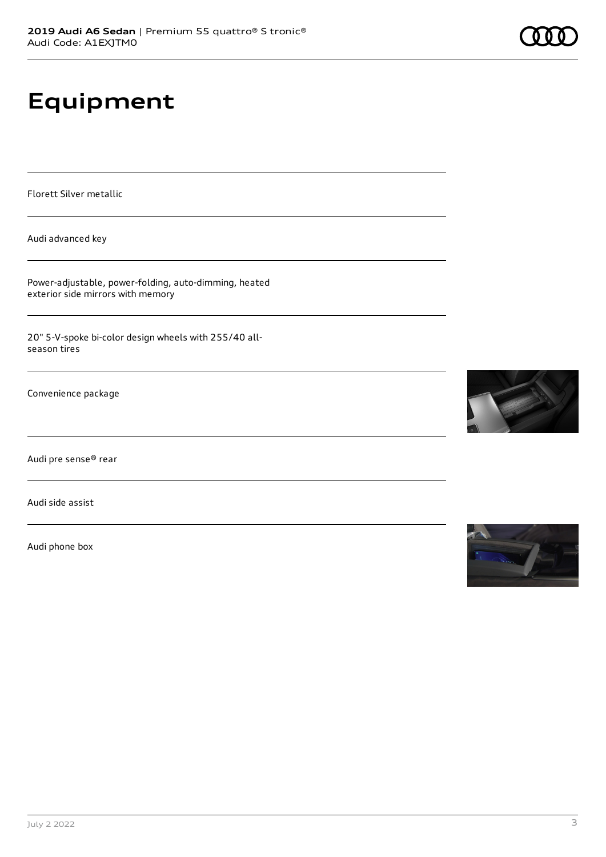# **Equipment**

Florett Silver metallic

Audi advanced key

Power-adjustable, power-folding, auto-dimming, heated exterior side mirrors with memory

20" 5-V-spoke bi-color design wheels with 255/40 allseason tires

Convenience package

Audi pre sense® rear

Audi side assist

Audi phone box





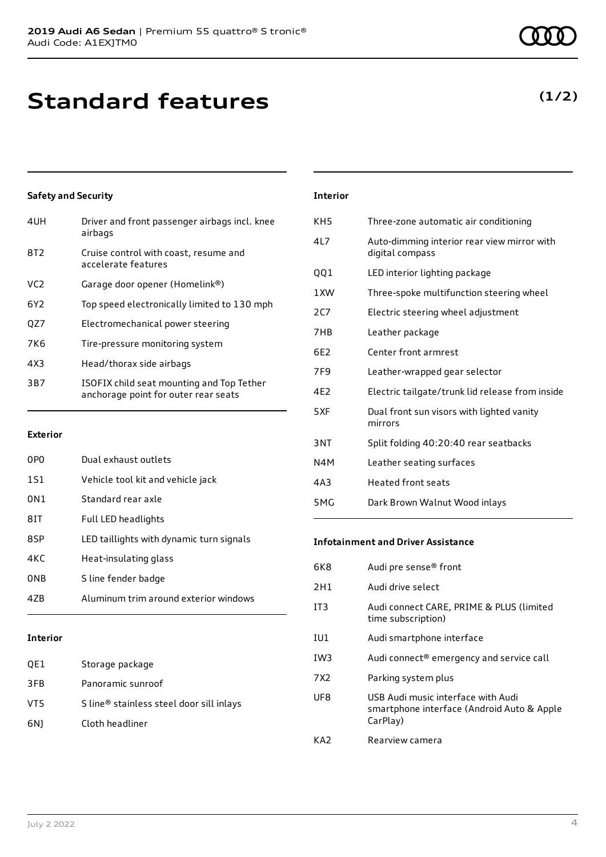# **Standard features**

### **Safety and Security**

| 4UH             | Driver and front passenger airbags incl. knee<br>airbags                          |
|-----------------|-----------------------------------------------------------------------------------|
| 8T <sub>2</sub> | Cruise control with coast, resume and<br>accelerate features                      |
| VC <sub>2</sub> | Garage door opener (Homelink®)                                                    |
| 6Y2             | Top speed electronically limited to 130 mph                                       |
| QZ7             | Electromechanical power steering                                                  |
| <b>7K6</b>      | Tire-pressure monitoring system                                                   |
| 4X3             | Head/thorax side airbags                                                          |
| 3B7             | ISOFIX child seat mounting and Top Tether<br>anchorage point for outer rear seats |
|                 |                                                                                   |

#### **Exterior**

| 0PO | Dual exhaust outlets                     |
|-----|------------------------------------------|
| 1S1 | Vehicle tool kit and vehicle jack        |
| 0N1 | Standard rear axle                       |
| 81T | Full LED headlights                      |
| 8SP | LED taillights with dynamic turn signals |
| 4KC | Heat-insulating glass                    |
| 0NB | S line fender badge                      |
| 47R | Aluminum trim around exterior windows    |

#### **Interior**

| QE1 | Storage package                          |
|-----|------------------------------------------|
| 3FB | Panoramic sunroof                        |
| VT5 | S line® stainless steel door sill inlays |
| 6N) | Cloth headliner                          |

| <b>Interior</b> |                                                                |
|-----------------|----------------------------------------------------------------|
| KH <sub>5</sub> | Three-zone automatic air conditioning                          |
| 417             | Auto-dimming interior rear view mirror with<br>digital compass |
| QQ1             | LED interior lighting package                                  |
| 1 XW            | Three-spoke multifunction steering wheel                       |
| 2C7             | Electric steering wheel adjustment                             |
| 7HB             | Leather package                                                |
| 6E2             | Center front armrest                                           |
| 7F <sub>9</sub> | Leather-wrapped gear selector                                  |
| 4E2             | Electric tailgate/trunk lid release from inside                |
| 5XF             | Dual front sun visors with lighted vanity<br>mirrors           |
| 3NT             | Split folding 40:20:40 rear seatbacks                          |
| N4M             | Leather seating surfaces                                       |
| 4A3             | <b>Heated front seats</b>                                      |
| 5MG             | Dark Brown Walnut Wood inlays                                  |

#### **Infotainment and Driver Assistance**

| 6K8             | Audi pre sense <sup>®</sup> front                                                            |
|-----------------|----------------------------------------------------------------------------------------------|
| 2H1             | Audi drive select                                                                            |
| IT <sub>3</sub> | Audi connect CARE, PRIME & PLUS (limited<br>time subscription)                               |
| IU1             | Audi smartphone interface                                                                    |
| IW3             | Audi connect <sup>®</sup> emergency and service call                                         |
| 7X <sub>2</sub> | Parking system plus                                                                          |
| UF8             | USB Audi music interface with Audi<br>smartphone interface (Android Auto & Apple<br>CarPlay) |
| KA7             | Rearview camera                                                                              |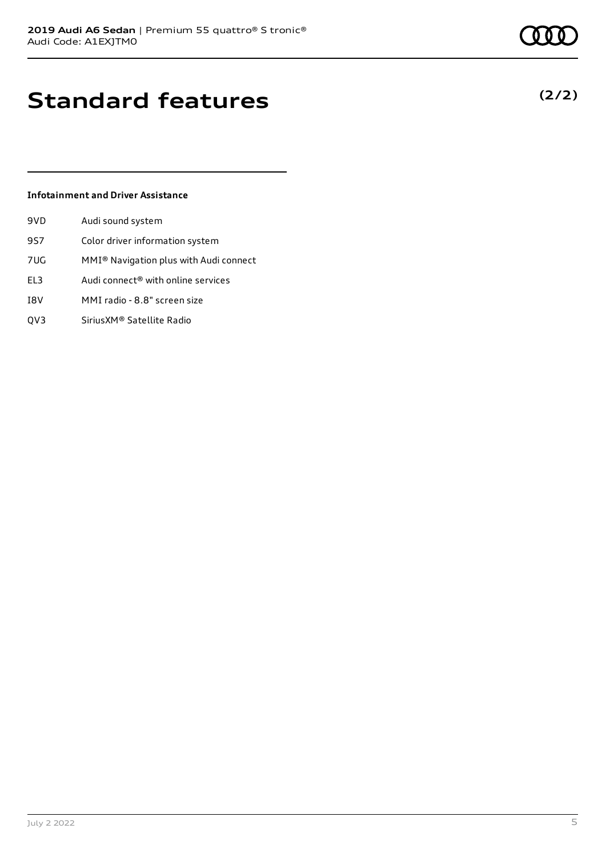**(2/2)**

# **Standard features**

#### **Infotainment and Driver Assistance**

| 9VD | Audi sound system                                  |
|-----|----------------------------------------------------|
| 9S7 | Color driver information system                    |
| 7UG | MMI <sup>®</sup> Navigation plus with Audi connect |
| EL3 | Audi connect® with online services                 |
| I8V | MMI radio - 8.8" screen size                       |

QV3 SiriusXM® Satellite Radio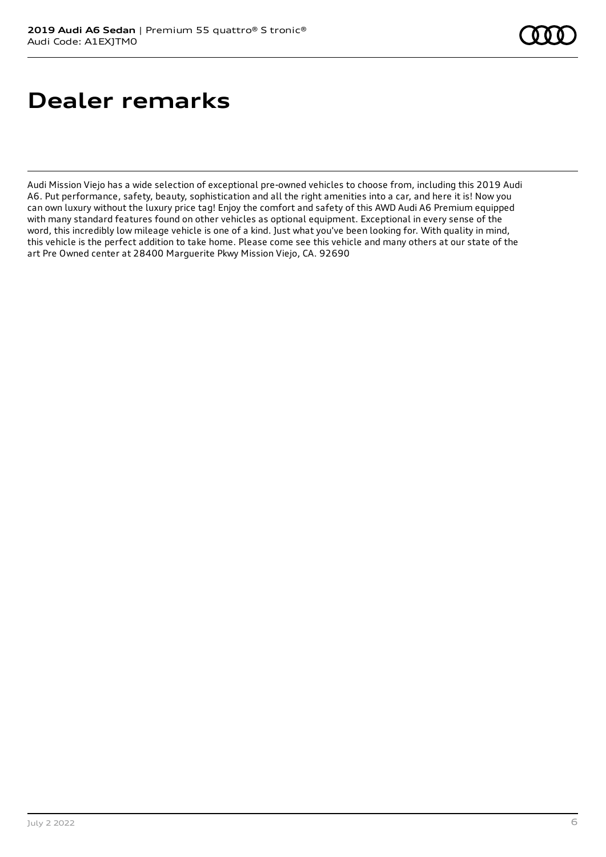# **Dealer remarks**

Audi Mission Viejo has a wide selection of exceptional pre-owned vehicles to choose from, including this 2019 Audi A6. Put performance, safety, beauty, sophistication and all the right amenities into a car, and here it is! Now you can own luxury without the luxury price tag! Enjoy the comfort and safety of this AWD Audi A6 Premium equipped with many standard features found on other vehicles as optional equipment. Exceptional in every sense of the word, this incredibly low mileage vehicle is one of a kind. Just what you've been looking for. With quality in mind, this vehicle is the perfect addition to take home. Please come see this vehicle and many others at our state of the art Pre Owned center at 28400 Marguerite Pkwy Mission Viejo, CA. 92690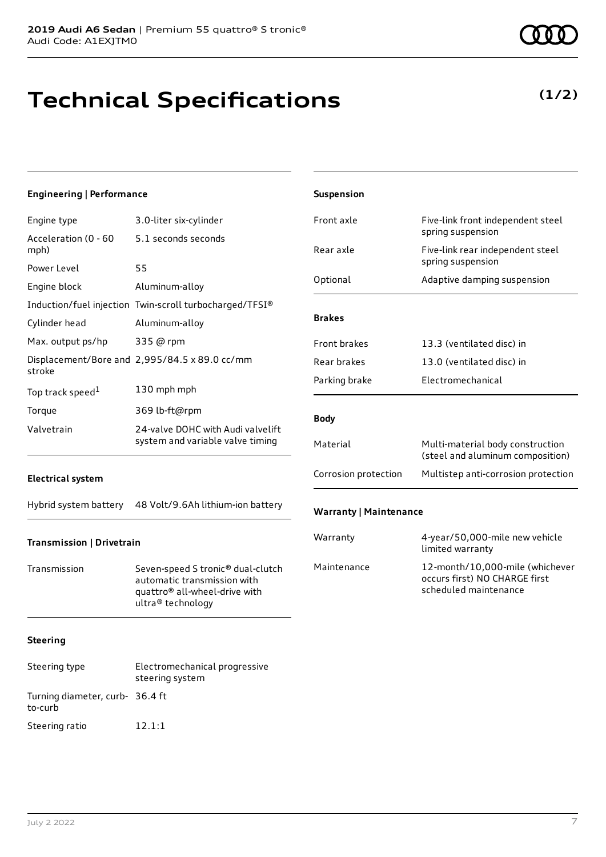# **Technical Specifications**

**(1/2)**

| Engineering   Performance    |                                                                                                                                    | Suspension                    |                                                                                           |
|------------------------------|------------------------------------------------------------------------------------------------------------------------------------|-------------------------------|-------------------------------------------------------------------------------------------|
| Engine type                  | 3.0-liter six-cylinder                                                                                                             | Front axle                    | Five-link front independent steel                                                         |
| Acceleration (0 - 60<br>mph) | 5.1 seconds seconds                                                                                                                | Rear axle                     | spring suspension<br>Five-link rear independent steel                                     |
| Power Level                  | 55                                                                                                                                 |                               | spring suspension                                                                         |
| Engine block                 | Aluminum-alloy                                                                                                                     | Optional                      | Adaptive damping suspension                                                               |
|                              | Induction/fuel injection Twin-scroll turbocharged/TFSI®                                                                            |                               |                                                                                           |
| Cylinder head                | Aluminum-alloy                                                                                                                     | <b>Brakes</b>                 |                                                                                           |
| Max. output ps/hp            | 335 @ rpm                                                                                                                          | Front brakes                  | 13.3 (ventilated disc) in                                                                 |
| stroke                       | Displacement/Bore and 2,995/84.5 x 89.0 cc/mm                                                                                      | Rear brakes                   | 13.0 (ventilated disc) in                                                                 |
| Top track speed $^1$         | 130 mph mph                                                                                                                        | Parking brake                 | Electromechanical                                                                         |
| Torque                       | 369 lb-ft@rpm                                                                                                                      |                               |                                                                                           |
| Valvetrain                   | 24-valve DOHC with Audi valvelift                                                                                                  | <b>Body</b>                   |                                                                                           |
|                              | system and variable valve timing                                                                                                   | Material                      | Multi-material body construction<br>(steel and aluminum composition)                      |
| <b>Electrical system</b>     |                                                                                                                                    | Corrosion protection          | Multistep anti-corrosion protection                                                       |
|                              | Hybrid system battery 48 Volt/9.6Ah lithium-ion battery                                                                            | <b>Warranty   Maintenance</b> |                                                                                           |
| Transmission   Drivetrain    |                                                                                                                                    | Warranty                      | 4-year/50,000-mile new vehicle<br>limited warranty                                        |
| Transmission                 | Seven-speed S tronic® dual-clutch<br>automatic transmission with<br>quattro <sup>®</sup> all-wheel-drive with<br>ultra® technology | Maintenance                   | 12-month/10,000-mile (whichever<br>occurs first) NO CHARGE first<br>scheduled maintenance |
| Steering                     |                                                                                                                                    |                               |                                                                                           |
| Steering type                | Electromechanical progressive<br>steering system                                                                                   |                               |                                                                                           |

to-curb

Turning diameter, curb-36.4 ft

Steering ratio 12.1:1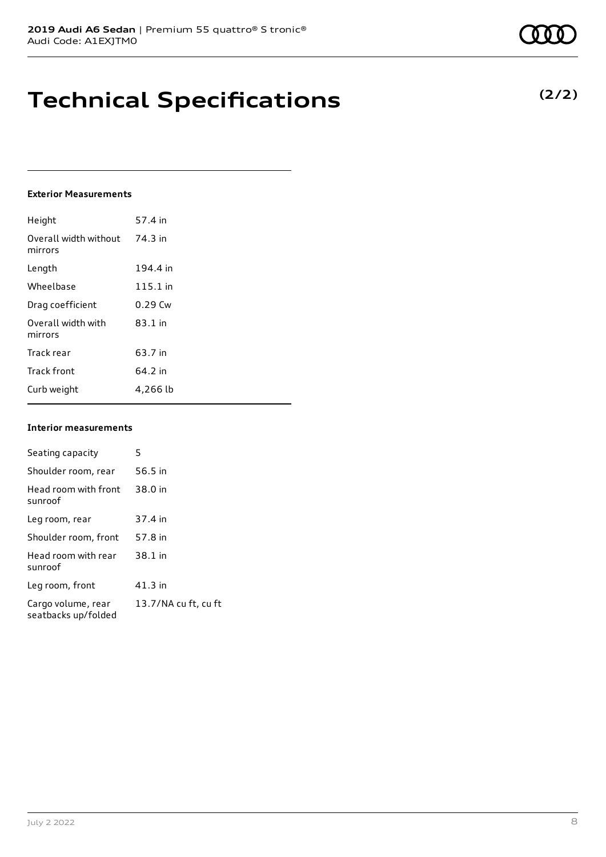## **Technical Specifications**

#### **Exterior Measurements**

| Height                           | 57.4 in    |
|----------------------------------|------------|
| Overall width without<br>mirrors | 74.3 in    |
| Length                           | 194.4 in   |
| Wheelbase                        | $115.1$ in |
| Drag coefficient                 | $0.29$ Cw  |
| Overall width with<br>mirrors    | 83.1 in    |
| Track rear                       | 63.7 in    |
| <b>Track front</b>               | 64.2 in    |
| Curb weight                      | 4,266 lb   |

#### **Interior measurements**

| Seating capacity                          | 5                    |
|-------------------------------------------|----------------------|
| Shoulder room, rear                       | 56.5 in              |
| Head room with front<br>sunroof           | 38.0 in              |
| Leg room, rear                            | 37.4 in              |
| Shoulder room, front                      | 57.8 in              |
| Head room with rear<br>sunroof            | 38.1 in              |
| Leg room, front                           | $41.3$ in            |
| Cargo volume, rear<br>seatbacks up/folded | 13.7/NA cu ft, cu ft |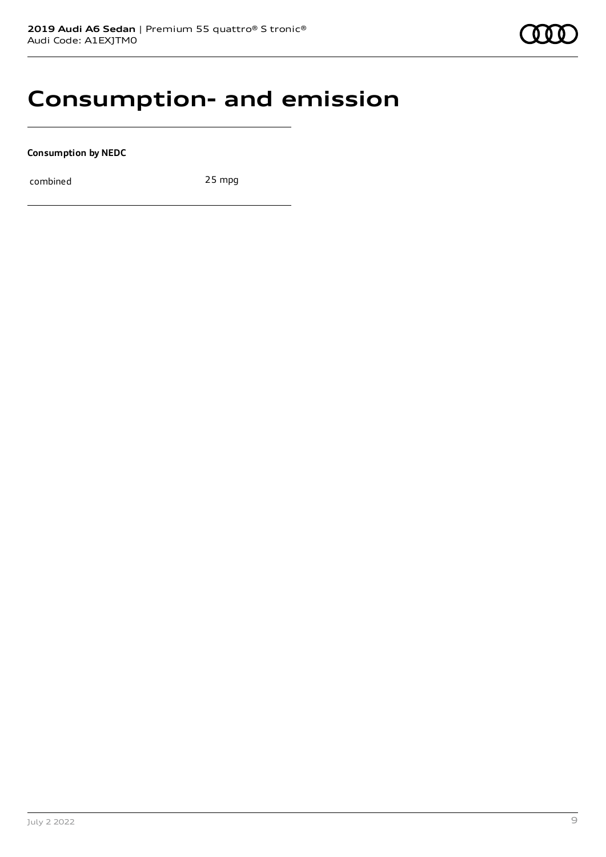### **Consumption- and emission**

**Consumption by NEDC**

combined 25 mpg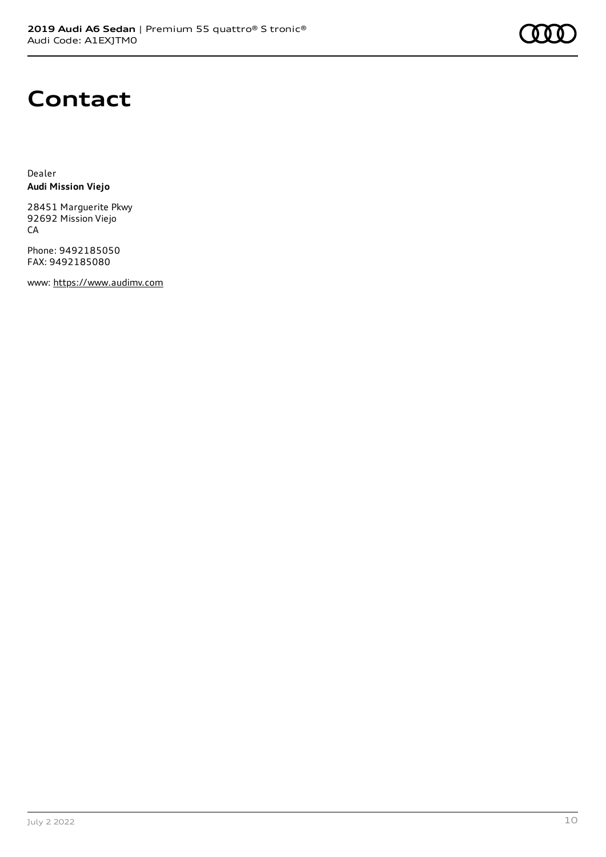

### **Contact**

Dealer **Audi Mission Viejo**

28451 Marguerite Pkwy 92692 Mission Viejo CA

Phone: 9492185050 FAX: 9492185080

www: [https://www.audimv.com](https://www.audimv.com/)